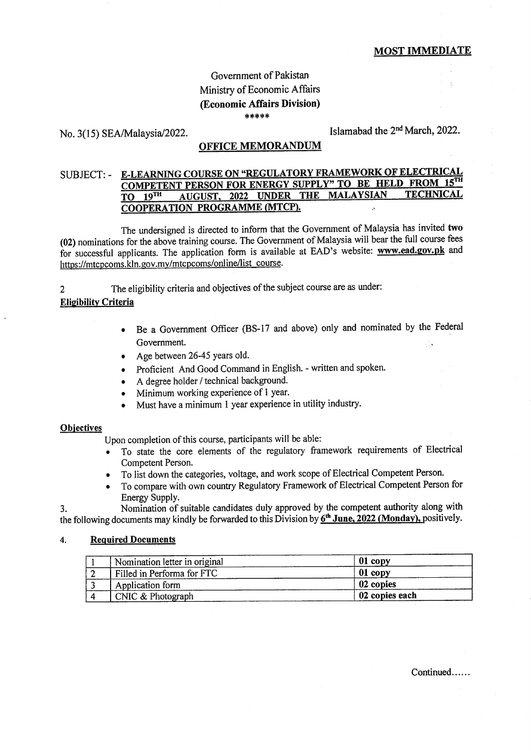# Govemment of Pakistan Ministry of Economic Affairs (Economic Affairs Division) \*:t\*\*\*

# No.  $3(15)$  SEA/Malaysia/2022.

## OFFICE MEMORANDUM

#### E-LEARNING COURSE ON "REGULATORY FRAMEWORK OF ELECTRICAL SUBJECT: - **COMPETENT PERSON FOR ENERGY SUPPLY" TO BE HELD FROM 15TH** AUGUST, 2022 UNDER THE MALAYSIAN **TECHNICAL**  $TO$   $19<sup>TH</sup>$ **COOPERATION PROGRAMME (MTCP).**

The undersigned is directed to inform that the Govemment of Malaysia has invited two (02) nominations for the above training course. The Government of Malaysia will bear the full course fees for successful applicants. The application form is available at EAD's website: www.ead.gov.pk and https://mtcpcoms.kln.gov.my/mtcpcoms/online/list\_course.

2 The eligibility criteria and objectives of the subject course are as under:

### Elieibilitv Criteria

- Be a Govemment Officer (BS-17 and above) only and nominated by the Federal a Government. ψğ
- Age between 26-45 years old.
- . Proficient And Good Command in English. written and spoken.
- . <sup>A</sup>degree holder/technical background.
- . Minimum working experience of 1 year.
- Must have a minimum 1 year experience in utility industry.

#### **Objectives**

Upon completion of this course, participants will be able:

- To state the core elements of the regulatory framework requirements of Electrical Competent Person.
- To list down the categories, voltage, and work scope of Electrical Competent Person.
- To compare with own country Regulatory Framework of Electrical Competent Person for Energy Supply.

3. Nomination of suitable candidates duly approved by the competent authority along with the following documents may kindly be forwarded to this Division by  $6<sup>th</sup>$  June, 2022 (Monday), positively.

#### 4. Required Documents

| Nomination letter in original | 01 copy        |
|-------------------------------|----------------|
| Filled in Performa for FTC    | 01 copy        |
| Application form              | 02 copies      |
| CNIC & Photograph             | 02 copies each |